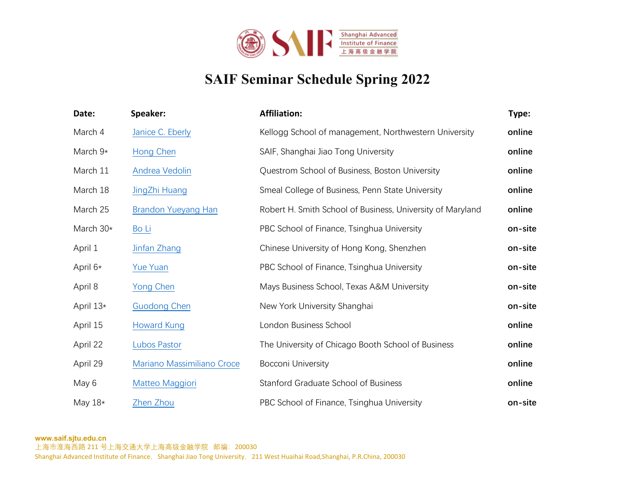

## **SAIF Seminar Schedule Spring 2022**

| Date:      | Speaker:                   | <b>Affiliation:</b>                                        | Type:   |
|------------|----------------------------|------------------------------------------------------------|---------|
| March 4    | Janice C. Eberly           | Kellogg School of management, Northwestern University      | online  |
| March $9*$ | Hong Chen                  | SAIF, Shanghai Jiao Tong University                        | online  |
| March 11   | Andrea Vedolin             | Questrom School of Business, Boston University             | online  |
| March 18   | JingZhi Huang              | Smeal College of Business, Penn State University           | online  |
| March 25   | <b>Brandon Yueyang Han</b> | Robert H. Smith School of Business, University of Maryland | online  |
| March 30*  | Bo Li                      | PBC School of Finance, Tsinghua University                 | on-site |
| April 1    | Jinfan Zhang               | Chinese University of Hong Kong, Shenzhen                  | on-site |
| April 6*   | <b>Yue Yuan</b>            | PBC School of Finance, Tsinghua University                 | on-site |
| April 8    | Yong Chen                  | Mays Business School, Texas A&M University                 | on-site |
| April 13*  | <b>Guodong Chen</b>        | New York University Shanghai                               | on-site |
| April 15   | <b>Howard Kung</b>         | London Business School                                     | online  |
| April 22   | Lubos Pastor               | The University of Chicago Booth School of Business         | online  |
| April 29   | Mariano Massimiliano Croce | <b>Bocconi University</b>                                  | online  |
| May 6      | Matteo Maggiori            | <b>Stanford Graduate School of Business</b>                | online  |
| May $18*$  | Zhen Zhou                  | PBC School of Finance, Tsinghua University                 | on-site |

**www.saif.sjtu.edu.cn**

上海市淮海西路 211 号上海交通大学上海高级金融学院 邮编: 200030

Shanghai Advanced Institute of Finance, Shanghai Jiao Tong University, 211 West Huaihai Road,Shanghai, P.R.China, 200030